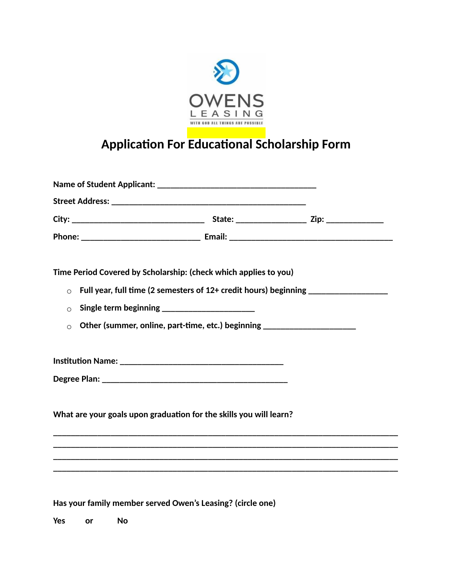

## **Application For Educational Scholarship Form**

| Time Period Covered by Scholarship: (check which applies to you)<br>$\Omega$<br>$\Omega$<br>Other (summer, online, part-time, etc.) beginning ______________________________<br>$\Omega$ | Full year, full time (2 semesters of 12+ credit hours) beginning _______________ |
|------------------------------------------------------------------------------------------------------------------------------------------------------------------------------------------|----------------------------------------------------------------------------------|
|                                                                                                                                                                                          |                                                                                  |
|                                                                                                                                                                                          |                                                                                  |
| What are your goals upon graduation for the skills you will learn?                                                                                                                       |                                                                                  |
|                                                                                                                                                                                          |                                                                                  |
|                                                                                                                                                                                          |                                                                                  |
|                                                                                                                                                                                          |                                                                                  |
|                                                                                                                                                                                          |                                                                                  |

**Has your family member served Owen's Leasing? (circle one)**

**Yes or No**